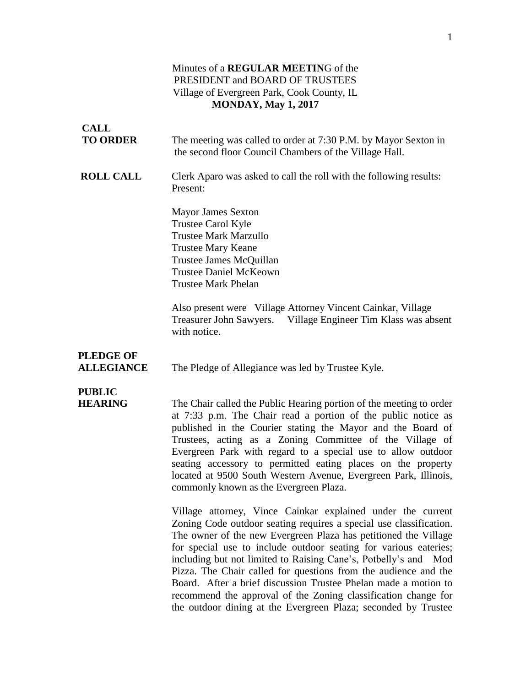### Minutes of a **REGULAR MEETIN**G of the PRESIDENT and BOARD OF TRUSTEES Village of Evergreen Park, Cook County, IL **MONDAY, May 1, 2017**

| <b>CALL</b>                           |                                                                                                                                                                                                                                                                                                                                                                                                                                                                                                              |
|---------------------------------------|--------------------------------------------------------------------------------------------------------------------------------------------------------------------------------------------------------------------------------------------------------------------------------------------------------------------------------------------------------------------------------------------------------------------------------------------------------------------------------------------------------------|
| <b>TO ORDER</b>                       | The meeting was called to order at 7:30 P.M. by Mayor Sexton in<br>the second floor Council Chambers of the Village Hall.                                                                                                                                                                                                                                                                                                                                                                                    |
| <b>ROLL CALL</b>                      | Clerk Aparo was asked to call the roll with the following results:<br>Present:                                                                                                                                                                                                                                                                                                                                                                                                                               |
|                                       | <b>Mayor James Sexton</b><br>Trustee Carol Kyle<br><b>Trustee Mark Marzullo</b><br><b>Trustee Mary Keane</b><br>Trustee James McQuillan<br><b>Trustee Daniel McKeown</b><br><b>Trustee Mark Phelan</b>                                                                                                                                                                                                                                                                                                       |
|                                       | Also present were Village Attorney Vincent Cainkar, Village<br>Treasurer John Sawyers. Village Engineer Tim Klass was absent<br>with notice.                                                                                                                                                                                                                                                                                                                                                                 |
| <b>PLEDGE OF</b><br><b>ALLEGIANCE</b> | The Pledge of Allegiance was led by Trustee Kyle.                                                                                                                                                                                                                                                                                                                                                                                                                                                            |
| <b>PUBLIC</b><br><b>HEARING</b>       | The Chair called the Public Hearing portion of the meeting to order<br>at 7:33 p.m. The Chair read a portion of the public notice as<br>published in the Courier stating the Mayor and the Board of<br>Trustees, acting as a Zoning Committee of the Village of<br>Evergreen Park with regard to a special use to allow outdoor<br>seating accessory to permitted eating places on the property<br>located at 9500 South Western Avenue, Evergreen Park, Illinois,<br>commonly known as the Evergreen Plaza. |
|                                       | Village attorney, Vince Cainkar explained under the current<br>Zoning Code outdoor seating requires a special use classification.<br>The owner of the new Evergreen Plaza has petitioned the Village<br>for special use to include outdoor seating for various eateries;<br>including but not limited to Raising Cane's, Potbelly's and Mod<br>Pizza. The Chair called for questions from the audience and the                                                                                               |

Board. After a brief discussion Trustee Phelan made a motion to recommend the approval of the Zoning classification change for the outdoor dining at the Evergreen Plaza; seconded by Trustee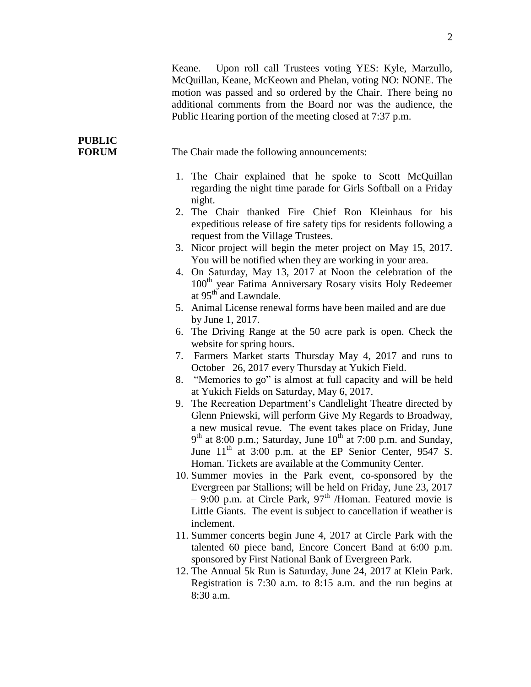Keane. Upon roll call Trustees voting YES: Kyle, Marzullo, McQuillan, Keane, McKeown and Phelan, voting NO: NONE. The motion was passed and so ordered by the Chair. There being no additional comments from the Board nor was the audience, the Public Hearing portion of the meeting closed at 7:37 p.m.

**FORUM** The Chair made the following announcements:

**PUBLIC**

- 1. The Chair explained that he spoke to Scott McQuillan regarding the night time parade for Girls Softball on a Friday night.
- 2. The Chair thanked Fire Chief Ron Kleinhaus for his expeditious release of fire safety tips for residents following a request from the Village Trustees.
- 3. Nicor project will begin the meter project on May 15, 2017. You will be notified when they are working in your area.
- 4. On Saturday, May 13, 2017 at Noon the celebration of the 100<sup>th</sup> year Fatima Anniversary Rosary visits Holy Redeemer at  $95<sup>th</sup>$  and Lawndale.
- 5. Animal License renewal forms have been mailed and are due by June 1, 2017.
- 6. The Driving Range at the 50 acre park is open. Check the website for spring hours.
- 7. Farmers Market starts Thursday May 4, 2017 and runs to October 26, 2017 every Thursday at Yukich Field.
- 8. "Memories to go" is almost at full capacity and will be held at Yukich Fields on Saturday, May 6, 2017.
- 9. The Recreation Department's Candlelight Theatre directed by Glenn Pniewski, will perform Give My Regards to Broadway, a new musical revue. The event takes place on Friday, June  $9<sup>th</sup>$  at 8:00 p.m.; Saturday, June  $10<sup>th</sup>$  at 7:00 p.m. and Sunday, June  $11<sup>th</sup>$  at 3:00 p.m. at the EP Senior Center, 9547 S. Homan. Tickets are available at the Community Center.
- 10. Summer movies in the Park event, co-sponsored by the Evergreen par Stallions; will be held on Friday, June 23, 2017  $-9:00$  p.m. at Circle Park, 97<sup>th</sup> /Homan. Featured movie is Little Giants. The event is subject to cancellation if weather is inclement.
- 11. Summer concerts begin June 4, 2017 at Circle Park with the talented 60 piece band, Encore Concert Band at 6:00 p.m. sponsored by First National Bank of Evergreen Park.
- 12. The Annual 5k Run is Saturday, June 24, 2017 at Klein Park. Registration is 7:30 a.m. to 8:15 a.m. and the run begins at 8:30 a.m.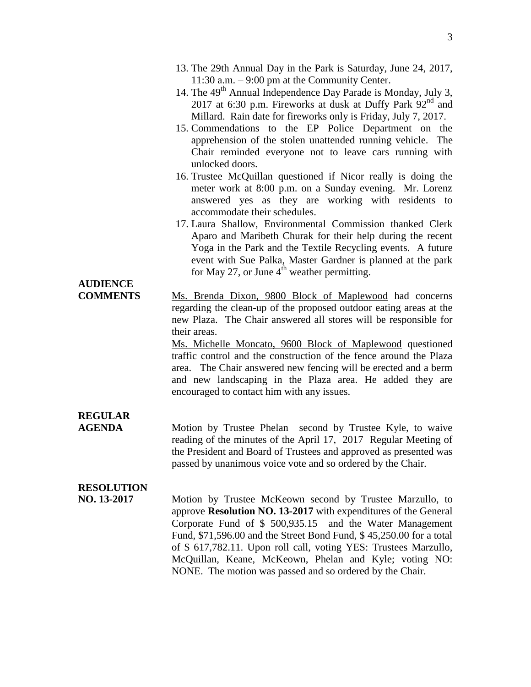- 13. The 29th Annual Day in the Park is Saturday, June 24, 2017, 11:30 a.m. – 9:00 pm at the Community Center.
- 14. The 49<sup>th</sup> Annual Independence Day Parade is Monday, July 3, 2017 at 6:30 p.m. Fireworks at dusk at Duffy Park 92<sup>nd</sup> and Millard. Rain date for fireworks only is Friday, July 7, 2017.
- 15. Commendations to the EP Police Department on the apprehension of the stolen unattended running vehicle. The Chair reminded everyone not to leave cars running with unlocked doors.
- 16. Trustee McQuillan questioned if Nicor really is doing the meter work at 8:00 p.m. on a Sunday evening. Mr. Lorenz answered yes as they are working with residents to accommodate their schedules.
- 17. Laura Shallow, Environmental Commission thanked Clerk Aparo and Maribeth Churak for their help during the recent Yoga in the Park and the Textile Recycling events. A future event with Sue Palka, Master Gardner is planned at the park for May 27, or June  $4<sup>th</sup>$  weather permitting.

#### **COMMENTS** Ms. Brenda Dixon, 9800 Block of Maplewood had concerns regarding the clean-up of the proposed outdoor eating areas at the new Plaza. The Chair answered all stores will be responsible for their areas.

Ms. Michelle Moncato, 9600 Block of Maplewood questioned traffic control and the construction of the fence around the Plaza area. The Chair answered new fencing will be erected and a berm and new landscaping in the Plaza area. He added they are encouraged to contact him with any issues.

# **REGULAR**

**AUDIENCE**

**AGENDA** Motion by Trustee Phelan second by Trustee Kyle, to waive reading of the minutes of the April 17, 2017 Regular Meeting of the President and Board of Trustees and approved as presented was passed by unanimous voice vote and so ordered by the Chair.

# **RESOLUTION**

**NO. 13-2017** Motion by Trustee McKeown second by Trustee Marzullo, to approve **Resolution NO. 13-2017** with expenditures of the General Corporate Fund of \$ 500,935.15 and the Water Management Fund, \$71,596.00 and the Street Bond Fund, \$ 45,250.00 for a total of \$ 617,782.11. Upon roll call, voting YES: Trustees Marzullo, McQuillan, Keane, McKeown, Phelan and Kyle; voting NO: NONE. The motion was passed and so ordered by the Chair.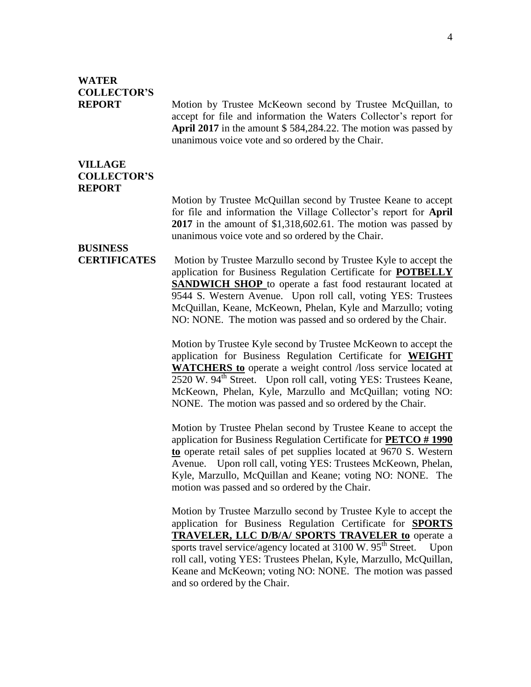# **WATER COLLECTOR'S**

**REPORT** Motion by Trustee McKeown second by Trustee McQuillan, to accept for file and information the Waters Collector's report for **April 2017** in the amount \$ 584,284.22. The motion was passed by unanimous voice vote and so ordered by the Chair.

### **VILLAGE COLLECTOR'S REPORT**

Motion by Trustee McQuillan second by Trustee Keane to accept for file and information the Village Collector's report for **April 2017** in the amount of \$1,318,602.61. The motion was passed by unanimous voice vote and so ordered by the Chair.

# **BUSINESS**

**CERTIFICATES** Motion by Trustee Marzullo second by Trustee Kyle to accept the application for Business Regulation Certificate for **POTBELLY SANDWICH SHOP** to operate a fast food restaurant located at 9544 S. Western Avenue. Upon roll call, voting YES: Trustees McQuillan, Keane, McKeown, Phelan, Kyle and Marzullo; voting NO: NONE. The motion was passed and so ordered by the Chair.

> Motion by Trustee Kyle second by Trustee McKeown to accept the application for Business Regulation Certificate for **WEIGHT WATCHERS to** operate a weight control /loss service located at 2520 W. 94<sup>th</sup> Street. Upon roll call, voting YES: Trustees Keane, McKeown, Phelan, Kyle, Marzullo and McQuillan; voting NO: NONE. The motion was passed and so ordered by the Chair.

> Motion by Trustee Phelan second by Trustee Keane to accept the application for Business Regulation Certificate for **PETCO # 1990 to** operate retail sales of pet supplies located at 9670 S. Western Avenue. Upon roll call, voting YES: Trustees McKeown, Phelan, Kyle, Marzullo, McQuillan and Keane; voting NO: NONE. The motion was passed and so ordered by the Chair.

> Motion by Trustee Marzullo second by Trustee Kyle to accept the application for Business Regulation Certificate for **SPORTS TRAVELER, LLC D/B/A/ SPORTS TRAVELER to** operate a sports travel service/agency located at  $3100 \text{ W}$ .  $95^{\text{th}}$  Street. Upon roll call, voting YES: Trustees Phelan, Kyle, Marzullo, McQuillan, Keane and McKeown; voting NO: NONE. The motion was passed and so ordered by the Chair.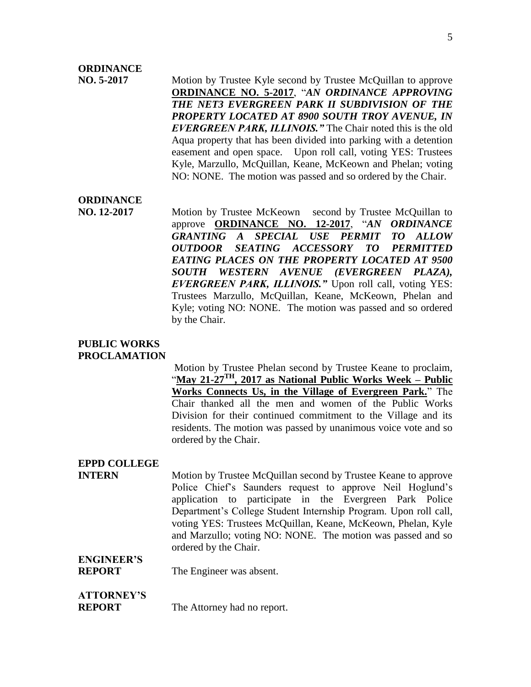## **ORDINANCE**

**NO. 5-2017** Motion by Trustee Kyle second by Trustee McQuillan to approve **ORDINANCE NO. 5-2017**, "*AN ORDINANCE APPROVING THE NET3 EVERGREEN PARK II SUBDIVISION OF THE PROPERTY LOCATED AT 8900 SOUTH TROY AVENUE, IN EVERGREEN PARK, ILLINOIS."* The Chair noted this is the old Aqua property that has been divided into parking with a detention easement and open space. Upon roll call, voting YES: Trustees Kyle, Marzullo, McQuillan, Keane, McKeown and Phelan; voting NO: NONE. The motion was passed and so ordered by the Chair.

## **ORDINANCE**

**NO. 12-2017** Motion by Trustee McKeown second by Trustee McQuillan to approve **ORDINANCE NO. 12-2017**, "*AN ORDINANCE GRANTING A SPECIAL USE PERMIT TO ALLOW OUTDOOR SEATING ACCESSORY TO PERMITTED EATING PLACES ON THE PROPERTY LOCATED AT 9500 SOUTH WESTERN AVENUE (EVERGREEN PLAZA), EVERGREEN PARK, ILLINOIS."* Upon roll call, voting YES: Trustees Marzullo, McQuillan, Keane, McKeown, Phelan and Kyle; voting NO: NONE. The motion was passed and so ordered by the Chair.

#### **PUBLIC WORKS PROCLAMATION**

Motion by Trustee Phelan second by Trustee Keane to proclaim, "**May 21-27TH, 2017 as National Public Works Week – Public Works Connects Us, in the Village of Evergreen Park.**" The Chair thanked all the men and women of the Public Works Division for their continued commitment to the Village and its residents. The motion was passed by unanimous voice vote and so ordered by the Chair.

### **EPPD COLLEGE**

**INTERN** Motion by Trustee McQuillan second by Trustee Keane to approve Police Chief's Saunders request to approve Neil Hoglund's application to participate in the Evergreen Park Police Department's College Student Internship Program. Upon roll call, voting YES: Trustees McQuillan, Keane, McKeown, Phelan, Kyle and Marzullo; voting NO: NONE. The motion was passed and so ordered by the Chair.

## **ENGINEER'S**

**REPORT** The Engineer was absent.

## **ATTORNEY'S**

**REPORT** The Attorney had no report.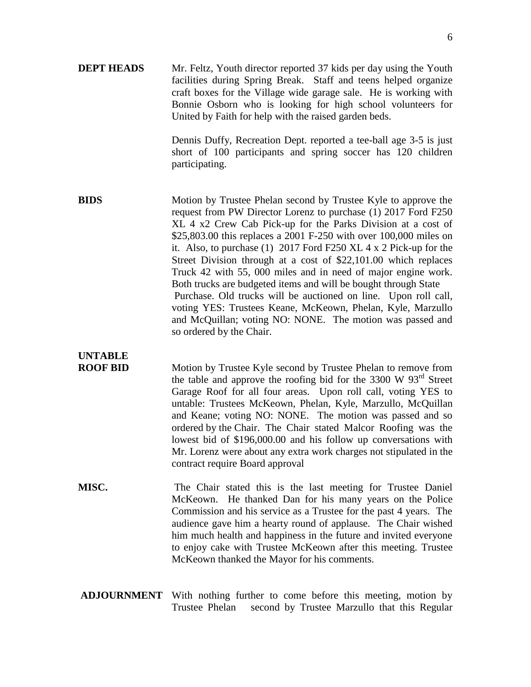**DEPT HEADS** Mr. Feltz, Youth director reported 37 kids per day using the Youth facilities during Spring Break. Staff and teens helped organize craft boxes for the Village wide garage sale. He is working with Bonnie Osborn who is looking for high school volunteers for United by Faith for help with the raised garden beds.

> Dennis Duffy, Recreation Dept. reported a tee-ball age 3-5 is just short of 100 participants and spring soccer has 120 children participating.

**BIDS** Motion by Trustee Phelan second by Trustee Kyle to approve the request from PW Director Lorenz to purchase (1) 2017 Ford F250 XL 4 x2 Crew Cab Pick-up for the Parks Division at a cost of \$25,803.00 this replaces a 2001 F-250 with over 100,000 miles on it. Also, to purchase (1) 2017 Ford F250 XL 4 x 2 Pick-up for the Street Division through at a cost of \$22,101.00 which replaces Truck 42 with 55, 000 miles and in need of major engine work. Both trucks are budgeted items and will be bought through State Purchase. Old trucks will be auctioned on line. Upon roll call, voting YES: Trustees Keane, McKeown, Phelan, Kyle, Marzullo and McQuillan; voting NO: NONE. The motion was passed and so ordered by the Chair.

# **UNTABLE**

**ROOF BID** Motion by Trustee Kyle second by Trustee Phelan to remove from the table and approve the roofing bid for the 3300 W  $93<sup>rd</sup>$  Street Garage Roof for all four areas. Upon roll call, voting YES to untable: Trustees McKeown, Phelan, Kyle, Marzullo, McQuillan and Keane; voting NO: NONE. The motion was passed and so ordered by the Chair. The Chair stated Malcor Roofing was the lowest bid of \$196,000.00 and his follow up conversations with Mr. Lorenz were about any extra work charges not stipulated in the contract require Board approval

- **MISC.** The Chair stated this is the last meeting for Trustee Daniel McKeown. He thanked Dan for his many years on the Police Commission and his service as a Trustee for the past 4 years. The audience gave him a hearty round of applause. The Chair wished him much health and happiness in the future and invited everyone to enjoy cake with Trustee McKeown after this meeting. Trustee McKeown thanked the Mayor for his comments.
- **ADJOURNMENT** With nothing further to come before this meeting, motion by Trustee Phelan second by Trustee Marzullo that this Regular